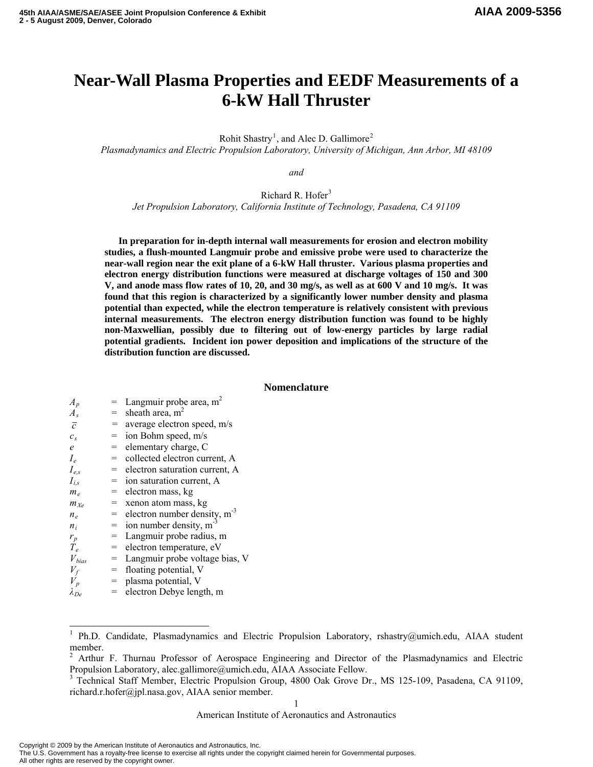# **Near-Wall Plasma Properties and EEDF Measurements of a 6-kW Hall Thruster**

Rohit Shastry<sup>[1](#page-0-0)</sup>, and Alec D. Gallimore<sup>[2](#page-0-1)</sup> *Plasmadynamics and Electric Propulsion Laboratory, University of Michigan, Ann Arbor, MI 48109* 

*and* 

Richard R. Hofer $3$ 

*Jet Propulsion Laboratory, California Institute of Technology, Pasadena, CA 91109* 

**In preparation for in-depth internal wall measurements for erosion and electron mobility studies, a flush-mounted Langmuir probe and emissive probe were used to characterize the near-wall region near the exit plane of a 6-kW Hall thruster. Various plasma properties and electron energy distribution functions were measured at discharge voltages of 150 and 300 V, and anode mass flow rates of 10, 20, and 30 mg/s, as well as at 600 V and 10 mg/s. It was found that this region is characterized by a significantly lower number density and plasma potential than expected, while the electron temperature is relatively consistent with previous internal measurements. The electron energy distribution function was found to be highly non-Maxwellian, possibly due to filtering out of low-energy particles by large radial potential gradients. Incident ion power deposition and implications of the structure of the distribution function are discussed.** 

# **Nomenclature**

| $A_p$          |     | Langmuir probe area, $m2$                    |
|----------------|-----|----------------------------------------------|
| $A_{s}$        |     | $=$ sheath area, m <sup>2</sup>              |
| $\overline{c}$ |     | $=$ average electron speed, m/s              |
| $c_{s}$        |     | $=$ ion Bohm speed, m/s                      |
| e              |     | $=$ elementary charge, C                     |
| $I_e$          |     | $=$ collected electron current, A            |
| $I_{e,s}$      |     | $=$ electron saturation current, A           |
| $I_{i,s}$      |     | $=$ ion saturation current, A                |
| $m_e$          |     | $=$ electron mass, kg                        |
| $m_{Xe}$       |     | $=$ xenon atom mass, kg                      |
| $n_e$          |     | $=$ electron number density, m <sup>-3</sup> |
| $n_i$          |     | $=$ ion number density, m <sup>-3</sup>      |
| $r_p$          | $=$ | Langmuir probe radius, m                     |
| $T_e$          |     | $=$ electron temperature, eV                 |
| $V_{bias}$     |     | $=$ Langmuir probe voltage bias, V           |
| $V_f$          |     | $=$ floating potential, V                    |
| $V_p$          |     | $=$ plasma potential, V                      |
| $\lambda_{De}$ |     | $=$ electron Debye length, m                 |

<span id="page-0-0"></span><sup>&</sup>lt;sup>1</sup> Ph.D. Candidate, Plasmadynamics and Electric Propulsion Laboratory, rshastry@umich.edu, AIAA student member.

American Institute of Aeronautics and Astronautics

<span id="page-0-2"></span>Copyright © 2009 by the American Institute of Aeronautics and Astronautics, Inc.

The U.S. Government has a royalty-free license to exercise all rights under the copyright claimed herein for Governmental purposes. All other rights are reserved by the copyright owner.

<span id="page-0-1"></span><sup>&</sup>lt;sup>2</sup> Arthur F. Thurnau Professor of Aerospace Engineering and Director of the Plasmadynamics and Electric Propulsion Laboratory, alec.gallimore@umich.edu, AIAA Associate Fellow.

<sup>&</sup>lt;sup>3</sup> Technical Staff Member, Electric Propulsion Group, 4800 Oak Grove Dr., MS 125-109, Pasadena, CA 91109, richard.r.hofer@jpl.nasa.gov, AIAA senior member.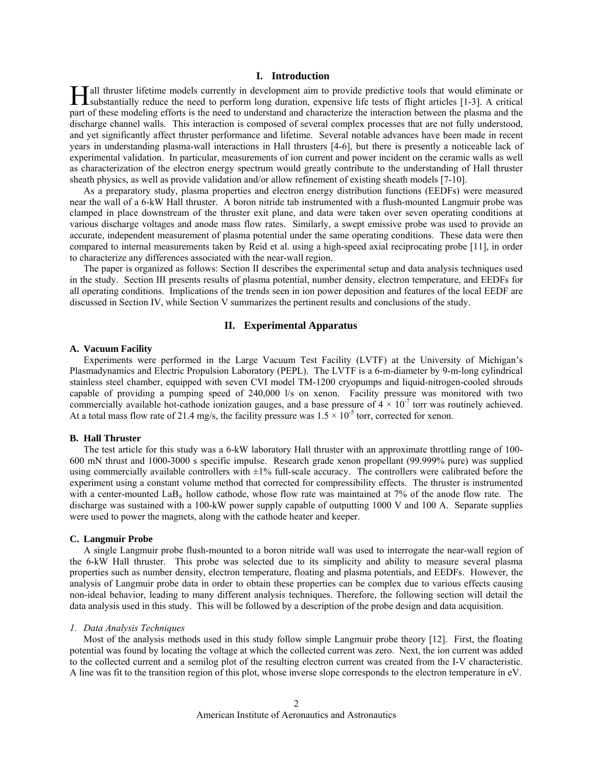## **I. Introduction**

Tall thruster lifetime models currently in development aim to provide predictive tools that would eliminate or I all thruster lifetime models currently in development aim to provide predictive tools that would eliminate or substantially reduce the need to perform long duration, expensive life tests of flight articles [1-3]. A criti part of these modeling efforts is the need to understand and characterize the interaction between the plasma and the discharge channel walls. This interaction is composed of several complex processes that are not fully understood, and yet significantly affect thruster performance and lifetime. Several notable advances have been made in recent years in understanding plasma-wall interactions in Hall thrusters [4-6], but there is presently a noticeable lack of experimental validation. In particular, measurements of ion current and power incident on the ceramic walls as well as characterization of the electron energy spectrum would greatly contribute to the understanding of Hall thruster sheath physics, as well as provide validation and/or allow refinement of existing sheath models [7-10].

As a preparatory study, plasma properties and electron energy distribution functions (EEDFs) were measured near the wall of a 6-kW Hall thruster. A boron nitride tab instrumented with a flush-mounted Langmuir probe was clamped in place downstream of the thruster exit plane, and data were taken over seven operating conditions at various discharge voltages and anode mass flow rates. Similarly, a swept emissive probe was used to provide an accurate, independent measurement of plasma potential under the same operating conditions. These data were then compared to internal measurements taken by Reid et al. using a high-speed axial reciprocating probe [11], in order to characterize any differences associated with the near-wall region.

The paper is organized as follows: Section II describes the experimental setup and data analysis techniques used in the study. Section III presents results of plasma potential, number density, electron temperature, and EEDFs for all operating conditions. Implications of the trends seen in ion power deposition and features of the local EEDF are discussed in Section IV, while Section V summarizes the pertinent results and conclusions of the study.

# **II. Experimental Apparatus**

## **A. Vacuum Facility**

Experiments were performed in the Large Vacuum Test Facility (LVTF) at the University of Michigan's Plasmadynamics and Electric Propulsion Laboratory (PEPL). The LVTF is a 6-m-diameter by 9-m-long cylindrical stainless steel chamber, equipped with seven CVI model TM-1200 cryopumps and liquid-nitrogen-cooled shrouds capable of providing a pumping speed of 240,000 l/s on xenon. Facility pressure was monitored with two commercially available hot-cathode ionization gauges, and a base pressure of  $4 \times 10^{-7}$  torr was routinely achieved. At a total mass flow rate of 21.4 mg/s, the facility pressure was  $1.5 \times 10^{-5}$  torr, corrected for xenon.

# **B. Hall Thruster**

The test article for this study was a 6-kW laboratory Hall thruster with an approximate throttling range of 100- 600 mN thrust and 1000-3000 s specific impulse. Research grade xenon propellant (99.999% pure) was supplied using commercially available controllers with  $\pm 1\%$  full-scale accuracy. The controllers were calibrated before the experiment using a constant volume method that corrected for compressibility effects. The thruster is instrumented with a center-mounted LaB<sub>6</sub> hollow cathode, whose flow rate was maintained at 7% of the anode flow rate. The discharge was sustained with a 100-kW power supply capable of outputting 1000 V and 100 A. Separate supplies were used to power the magnets, along with the cathode heater and keeper.

#### **C. Langmuir Probe**

A single Langmuir probe flush-mounted to a boron nitride wall was used to interrogate the near-wall region of the 6-kW Hall thruster. This probe was selected due to its simplicity and ability to measure several plasma properties such as number density, electron temperature, floating and plasma potentials, and EEDFs. However, the analysis of Langmuir probe data in order to obtain these properties can be complex due to various effects causing non-ideal behavior, leading to many different analysis techniques. Therefore, the following section will detail the data analysis used in this study. This will be followed by a description of the probe design and data acquisition.

## *1. Data Analysis Techniques*

Most of the analysis methods used in this study follow simple Langmuir probe theory [12]. First, the floating potential was found by locating the voltage at which the collected current was zero. Next, the ion current was added to the collected current and a semilog plot of the resulting electron current was created from the I-V characteristic. A line was fit to the transition region of this plot, whose inverse slope corresponds to the electron temperature in eV.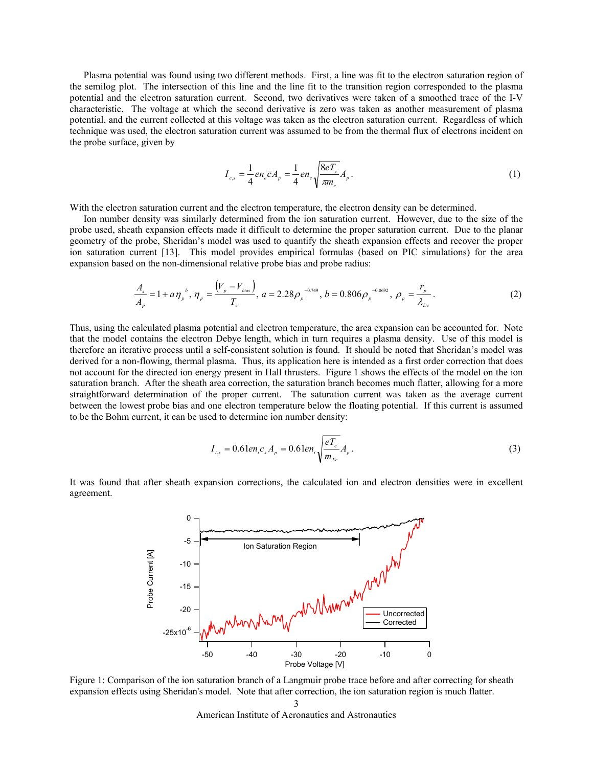Plasma potential was found using two different methods. First, a line was fit to the electron saturation region of the semilog plot. The intersection of this line and the line fit to the transition region corresponded to the plasma potential and the electron saturation current. Second, two derivatives were taken of a smoothed trace of the I-V characteristic. The voltage at which the second derivative is zero was taken as another measurement of plasma potential, and the current collected at this voltage was taken as the electron saturation current. Regardless of which technique was used, the electron saturation current was assumed to be from the thermal flux of electrons incident on the probe surface, given by

$$
I_{e,s} = \frac{1}{4} e n_e \overline{c} A_p = \frac{1}{4} e n_e \sqrt{\frac{8e T_e}{\pi m_e}} A_p.
$$
 (1)

With the electron saturation current and the electron temperature, the electron density can be determined.

 Ion number density was similarly determined from the ion saturation current. However, due to the size of the probe used, sheath expansion effects made it difficult to determine the proper saturation current. Due to the planar geometry of the probe, Sheridan's model was used to quantify the sheath expansion effects and recover the proper ion saturation current [13]. This model provides empirical formulas (based on PIC simulations) for the area expansion based on the non-dimensional relative probe bias and probe radius:

$$
\frac{A_s}{A_p} = 1 + a\eta_p^b, \eta_p = \frac{(V_p - V_{bias})}{T_e}, a = 2.28\rho_p^{-0.749}, b = 0.806\rho_p^{-0.0692}, \rho_p = \frac{r_p}{\lambda_{De}}.
$$
\n(2)

Thus, using the calculated plasma potential and electron temperature, the area expansion can be accounted for. Note that the model contains the electron Debye length, which in turn requires a plasma density. Use of this model is therefore an iterative process until a self-consistent solution is found. It should be noted that Sheridan's model was derived for a non-flowing, thermal plasma. Thus, its application here is intended as a first order correction that does not account for the directed ion energy present in Hall thrusters. [Figure 1](#page-2-0) shows the effects of the model on the ion saturation branch. After the sheath area correction, the saturation branch becomes much flatter, allowing for a more straightforward determination of the proper current. The saturation current was taken as the average current between the lowest probe bias and one electron temperature below the floating potential. If this current is assumed to be the Bohm current, it can be used to determine ion number density:

$$
I_{i,s} = 0.61en_{i}c_{s}A_{p} = 0.61en_{i}\sqrt{\frac{eT_{e}}{m_{x}}A_{p}}.
$$
\n(3)

It was found that after sheath expansion corrections, the calculated ion and electron densities were in excellent agreement.



<span id="page-2-0"></span>Figure 1: Comparison of the ion saturation branch of a Langmuir probe trace before and after correcting for sheath expansion effects using Sheridan's model. Note that after correction, the ion saturation region is much flatter.

American Institute of Aeronautics and Astronautics 3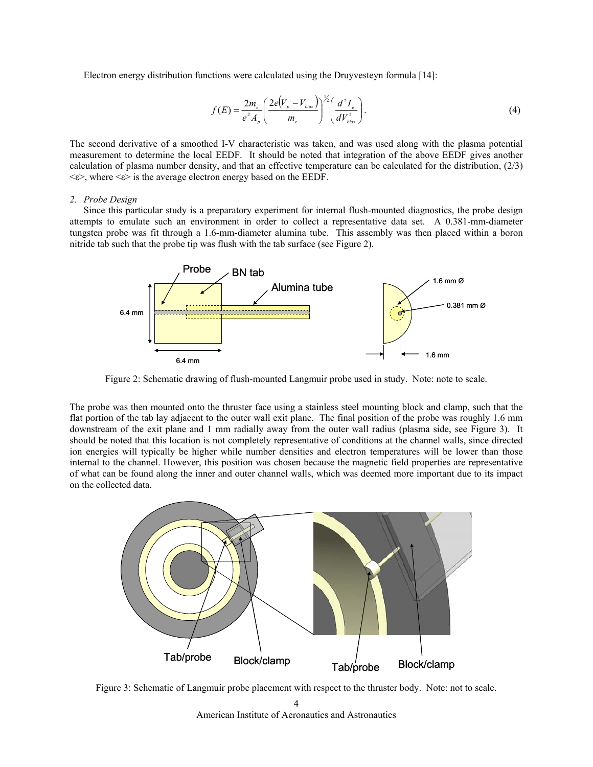Electron energy distribution functions were calculated using the Druyvesteyn formula [14]:

$$
f(E) = \frac{2m_e}{e^2 A_p} \left( \frac{2e(V_p - V_{bias})}{m_e} \right)^{1/2} \left( \frac{d^2 I_e}{dV_{bias}^2} \right).
$$
 (4)

The second derivative of a smoothed I-V characteristic was taken, and was used along with the plasma potential measurement to determine the local EEDF. It should be noted that integration of the above EEDF gives another calculation of plasma number density, and that an effective temperature can be calculated for the distribution, (2/3)  $\leq \epsilon$ , where  $\leq \epsilon$  is the average electron energy based on the EEDF.

## *2. Probe Design*

Since this particular study is a preparatory experiment for internal flush-mounted diagnostics, the probe design attempts to emulate such an environment in order to collect a representative data set. A 0.381-mm-diameter tungsten probe was fit through a 1.6-mm-diameter alumina tube. This assembly was then placed within a boron nitride tab such that the probe tip was flush with the tab surface (see [Figure 2](#page-3-0)).



Figure 2: Schematic drawing of flush-mounted Langmuir probe used in study. Note: note to scale.

<span id="page-3-0"></span>The probe was then mounted onto the thruster face using a stainless steel mounting block and clamp, such that the flat portion of the tab lay adjacent to the outer wall exit plane. The final position of the probe was roughly 1.6 mm downstream of the exit plane and 1 mm radially away from the outer wall radius (plasma side, see [Figure 3\)](#page-3-1). It should be noted that this location is not completely representative of conditions at the channel walls, since directed ion energies will typically be higher while number densities and electron temperatures will be lower than those internal to the channel. However, this position was chosen because the magnetic field properties are representative of what can be found along the inner and outer channel walls, which was deemed more important due to its impact on the collected data.



<span id="page-3-1"></span>Figure 3: Schematic of Langmuir probe placement with respect to the thruster body. Note: not to scale.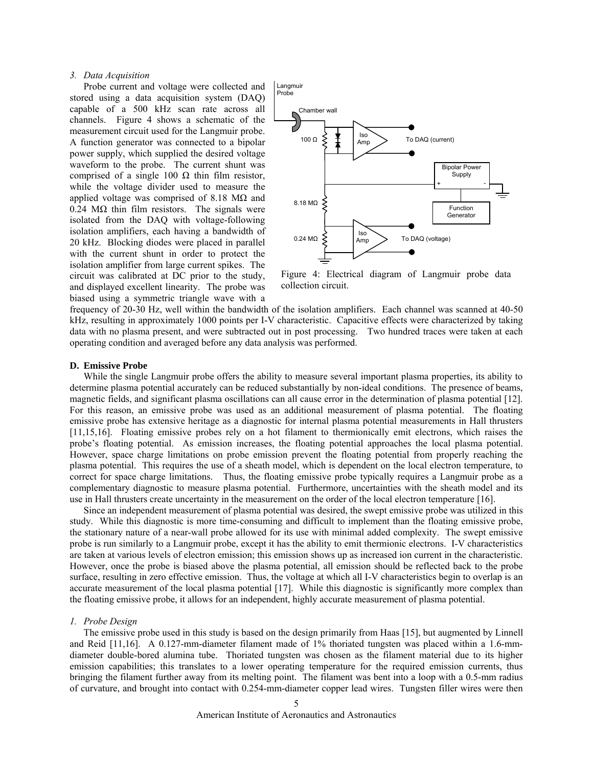# *3. Data Acquisition*

Probe current and voltage were collected and stored using a data acquisition system (DAQ) capable of a 500 kHz scan rate across all channels. Figure 4 shows a schematic of the measurement circuit used for the Langmuir probe. A function generator was connected to a bipolar power supply, which supplied the desired voltage waveform to the probe. The current shunt was comprised of a single 100  $\Omega$  thin film resistor, while the voltage divider used to measure the applied voltage was comprised of 8.18  $M\Omega$  and 0.24 MΩ thin film resistors. The signals were isolated from the DAQ with voltage-following isolation amplifiers, each having a bandwidth of 20 kHz. Blocking diodes were placed in parallel with the current shunt in order to protect the isolation amplifier from large current spikes. The circuit was calibrated at DC prior to the study, and displayed excellent linearity. The probe was biased using a symmetric triangle wave with a



Figure 4: Electrical diagram of Langmuir probe data collection circuit.

frequency of 20-30 Hz, well within the bandwidth of the isolation amplifiers. Each channel was scanned at 40-50 kHz, resulting in approximately 1000 points per I-V characteristic. Capacitive effects were characterized by taking data with no plasma present, and were subtracted out in post processing. Two hundred traces were taken at each operating condition and averaged before any data analysis was performed.

## **D. Emissive Probe**

While the single Langmuir probe offers the ability to measure several important plasma properties, its ability to determine plasma potential accurately can be reduced substantially by non-ideal conditions. The presence of beams, magnetic fields, and significant plasma oscillations can all cause error in the determination of plasma potential [12]. For this reason, an emissive probe was used as an additional measurement of plasma potential. The floating emissive probe has extensive heritage as a diagnostic for internal plasma potential measurements in Hall thrusters [11,15,16]. Floating emissive probes rely on a hot filament to thermionically emit electrons, which raises the probe's floating potential. As emission increases, the floating potential approaches the local plasma potential. However, space charge limitations on probe emission prevent the floating potential from properly reaching the plasma potential. This requires the use of a sheath model, which is dependent on the local electron temperature, to correct for space charge limitations. Thus, the floating emissive probe typically requires a Langmuir probe as a complementary diagnostic to measure plasma potential. Furthermore, uncertainties with the sheath model and its use in Hall thrusters create uncertainty in the measurement on the order of the local electron temperature [16].

Since an independent measurement of plasma potential was desired, the swept emissive probe was utilized in this study. While this diagnostic is more time-consuming and difficult to implement than the floating emissive probe, the stationary nature of a near-wall probe allowed for its use with minimal added complexity. The swept emissive probe is run similarly to a Langmuir probe, except it has the ability to emit thermionic electrons. I-V characteristics are taken at various levels of electron emission; this emission shows up as increased ion current in the characteristic. However, once the probe is biased above the plasma potential, all emission should be reflected back to the probe surface, resulting in zero effective emission. Thus, the voltage at which all I-V characteristics begin to overlap is an accurate measurement of the local plasma potential [17]. While this diagnostic is significantly more complex than the floating emissive probe, it allows for an independent, highly accurate measurement of plasma potential.

# *1. Probe Design*

The emissive probe used in this study is based on the design primarily from Haas [15], but augmented by Linnell and Reid [11,16]. A 0.127-mm-diameter filament made of 1% thoriated tungsten was placed within a 1.6-mmdiameter double-bored alumina tube. Thoriated tungsten was chosen as the filament material due to its higher emission capabilities; this translates to a lower operating temperature for the required emission currents, thus bringing the filament further away from its melting point. The filament was bent into a loop with a 0.5-mm radius of curvature, and brought into contact with 0.254-mm-diameter copper lead wires. Tungsten filler wires were then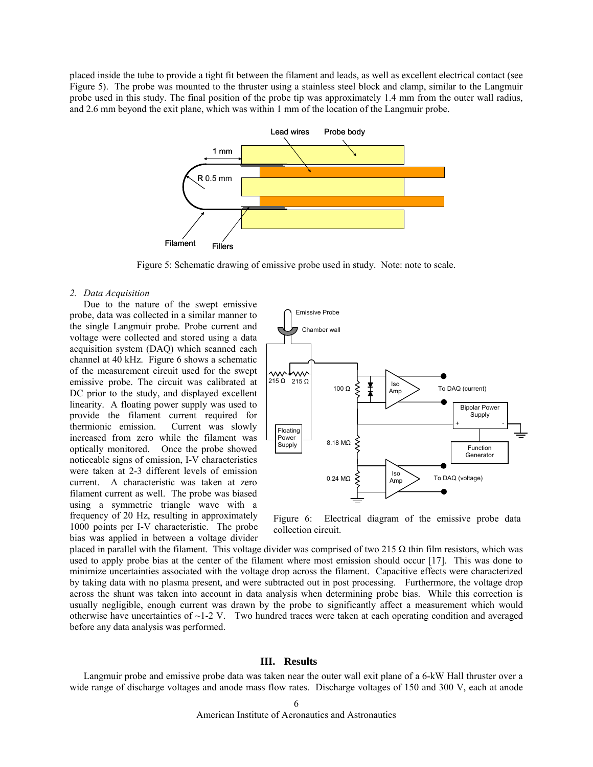placed inside the tube to provide a tight fit between the filament and leads, as well as excellent electrical contact (see [Figure 5](#page-5-0)). The probe was mounted to the thruster using a stainless steel block and clamp, similar to the Langmuir probe used in this study. The final position of the probe tip was approximately 1.4 mm from the outer wall radius, and 2.6 mm beyond the exit plane, which was within 1 mm of the location of the Langmuir probe.



Figure 5: Schematic drawing of emissive probe used in study. Note: note to scale.

## <span id="page-5-0"></span>*2. Data Acquisition*

Due to the nature of the swept emissive probe, data was collected in a similar manner to the single Langmuir probe. Probe current and voltage were collected and stored using a data acquisition system (DAQ) which scanned each channel at 40 kHz. Figure 6 shows a schematic of the measurement circuit used for the swept emissive probe. The circuit was calibrated at DC prior to the study, and displayed excellent linearity. A floating power supply was used to provide the filament current required for thermionic emission. Current was slowly increased from zero while the filament was optically monitored. Once the probe showed noticeable signs of emission, I-V characteristics were taken at 2-3 different levels of emission current. A characteristic was taken at zero filament current as well. The probe was biased using a symmetric triangle wave with a frequency of 20 Hz, resulting in approximately 1000 points per I-V characteristic. The probe bias was applied in between a voltage divider



Figure 6: Electrical diagram of the emissive probe data collection circuit.

placed in parallel with the filament. This voltage divider was comprised of two 215 Ω thin film resistors, which was used to apply probe bias at the center of the filament where most emission should occur [17]. This was done to minimize uncertainties associated with the voltage drop across the filament. Capacitive effects were characterized by taking data with no plasma present, and were subtracted out in post processing. Furthermore, the voltage drop across the shunt was taken into account in data analysis when determining probe bias. While this correction is usually negligible, enough current was drawn by the probe to significantly affect a measurement which would otherwise have uncertainties of  $\sim$ 1-2 V. Two hundred traces were taken at each operating condition and averaged before any data analysis was performed.

# **III. Results**

Langmuir probe and emissive probe data was taken near the outer wall exit plane of a 6-kW Hall thruster over a wide range of discharge voltages and anode mass flow rates. Discharge voltages of 150 and 300 V, each at anode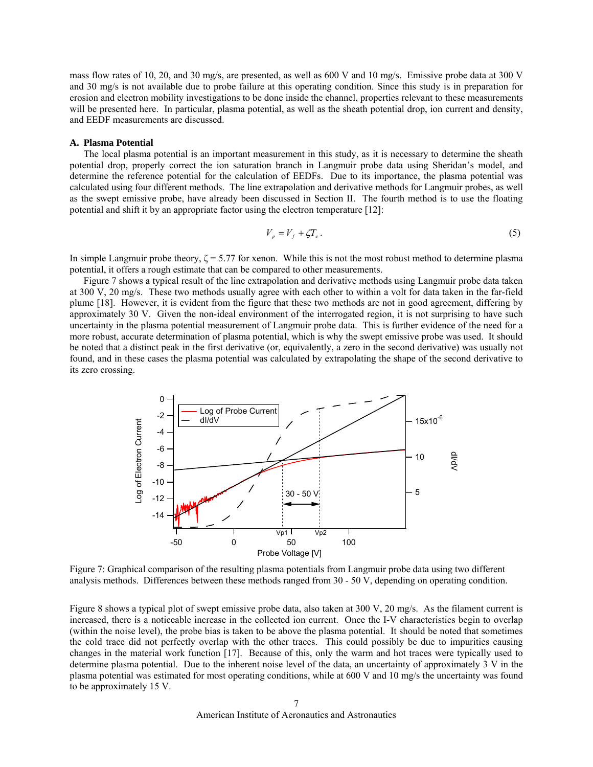mass flow rates of 10, 20, and 30 mg/s, are presented, as well as 600 V and 10 mg/s. Emissive probe data at 300 V and 30 mg/s is not available due to probe failure at this operating condition. Since this study is in preparation for erosion and electron mobility investigations to be done inside the channel, properties relevant to these measurements will be presented here. In particular, plasma potential, as well as the sheath potential drop, ion current and density, and EEDF measurements are discussed.

### **A. Plasma Potential**

The local plasma potential is an important measurement in this study, as it is necessary to determine the sheath potential drop, properly correct the ion saturation branch in Langmuir probe data using Sheridan's model, and determine the reference potential for the calculation of EEDFs. Due to its importance, the plasma potential was calculated using four different methods. The line extrapolation and derivative methods for Langmuir probes, as well as the swept emissive probe, have already been discussed in Section II. The fourth method is to use the floating potential and shift it by an appropriate factor using the electron temperature [12]:

$$
V_p = V_f + \zeta T_e \,. \tag{5}
$$

In simple Langmuir probe theory,  $\zeta = 5.77$  for xenon. While this is not the most robust method to determine plasma potential, it offers a rough estimate that can be compared to other measurements.

[Figure 7](#page-6-0) shows a typical result of the line extrapolation and derivative methods using Langmuir probe data taken at 300 V, 20 mg/s. These two methods usually agree with each other to within a volt for data taken in the far-field plume [18]. However, it is evident from the figure that these two methods are not in good agreement, differing by approximately 30 V. Given the non-ideal environment of the interrogated region, it is not surprising to have such uncertainty in the plasma potential measurement of Langmuir probe data. This is further evidence of the need for a more robust, accurate determination of plasma potential, which is why the swept emissive probe was used. It should be noted that a distinct peak in the first derivative (or, equivalently, a zero in the second derivative) was usually not found, and in these cases the plasma potential was calculated by extrapolating the shape of the second derivative to its zero crossing.



<span id="page-6-0"></span>Figure 7: Graphical comparison of the resulting plasma potentials from Langmuir probe data using two different analysis methods. Differences between these methods ranged from 30 - 50 V, depending on operating condition.

[Figure 8](#page-7-0) shows a typical plot of swept emissive probe data, also taken at 300 V, 20 mg/s. As the filament current is increased, there is a noticeable increase in the collected ion current. Once the I-V characteristics begin to overlap (within the noise level), the probe bias is taken to be above the plasma potential. It should be noted that sometimes the cold trace did not perfectly overlap with the other traces. This could possibly be due to impurities causing changes in the material work function [17]. Because of this, only the warm and hot traces were typically used to determine plasma potential. Due to the inherent noise level of the data, an uncertainty of approximately 3 V in the plasma potential was estimated for most operating conditions, while at 600 V and 10 mg/s the uncertainty was found to be approximately 15 V.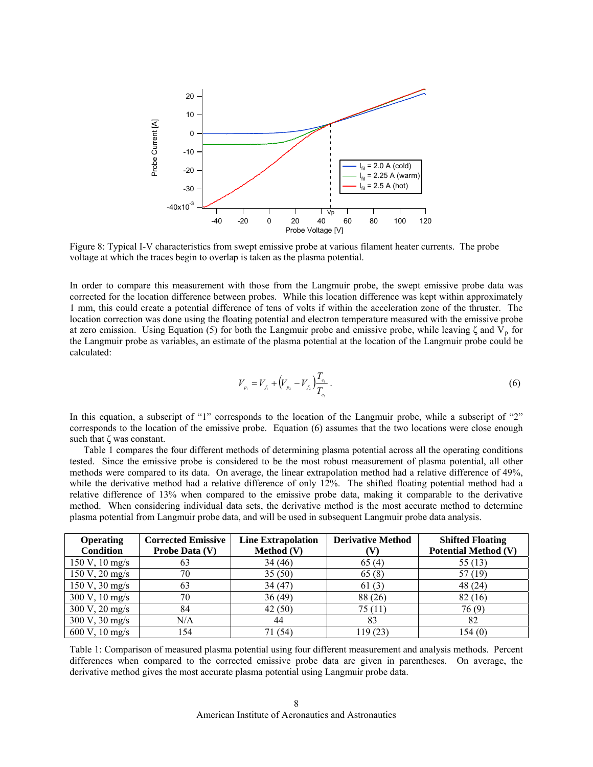

<span id="page-7-0"></span>Figure 8: Typical I-V characteristics from swept emissive probe at various filament heater currents. The probe voltage at which the traces begin to overlap is taken as the plasma potential.

In order to compare this measurement with those from the Langmuir probe, the swept emissive probe data was corrected for the location difference between probes. While this location difference was kept within approximately 1 mm, this could create a potential difference of tens of volts if within the acceleration zone of the thruster. The location correction was done using the floating potential and electron temperature measured with the emissive probe at zero emission. Using Equation (5) for both the Langmuir probe and emissive probe, while leaving ζ and  $V_p$  for the Langmuir probe as variables, an estimate of the plasma potential at the location of the Langmuir probe could be calculated:

$$
V_{p_i} = V_{f_i} + \left(V_{p_2} - V_{f_2}\right) \frac{T_{e_i}}{T_{e_i}}\,. \tag{6}
$$

In this equation, a subscript of "1" corresponds to the location of the Langmuir probe, while a subscript of "2" corresponds to the location of the emissive probe. Equation (6) assumes that the two locations were close enough such that ζ was constant.

[Table 1](#page-7-1) compares the four different methods of determining plasma potential across all the operating conditions tested. Since the emissive probe is considered to be the most robust measurement of plasma potential, all other methods were compared to its data. On average, the linear extrapolation method had a relative difference of 49%, while the derivative method had a relative difference of only 12%. The shifted floating potential method had a relative difference of 13% when compared to the emissive probe data, making it comparable to the derivative method. When considering individual data sets, the derivative method is the most accurate method to determine plasma potential from Langmuir probe data, and will be used in subsequent Langmuir probe data analysis.

| <b>Operating</b><br><b>Condition</b> | <b>Corrected Emissive</b><br>Probe Data (V) | <b>Line Extrapolation</b><br>Method (V) | <b>Derivative Method</b> | <b>Shifted Floating</b><br><b>Potential Method (V)</b> |
|--------------------------------------|---------------------------------------------|-----------------------------------------|--------------------------|--------------------------------------------------------|
| 150 V, 10 mg/s                       | 63                                          | 34(46)                                  | 65(4)                    | 55(13)                                                 |
| 150 V, 20 mg/s                       | 70                                          | 35(50)                                  | 65(8)                    | 57 (19)                                                |
| 150 V, 30 mg/s                       | 63                                          | 34(47)                                  | 61(3)                    | 48 (24)                                                |
| 300 V, 10 mg/s                       | 70                                          | 36(49)                                  | 88 (26)                  | 82(16)                                                 |
| 300 V, 20 mg/s                       | 84                                          | 42(50)                                  | 75 (11)                  | 76(9)                                                  |
| 300 V, 30 mg/s                       | N/A                                         | 44                                      | 83                       | 82                                                     |
| 600 V, 10 mg/s                       | 154                                         | 71 (54)                                 | 119(23)                  | 154(0)                                                 |

<span id="page-7-1"></span>Table 1: Comparison of measured plasma potential using four different measurement and analysis methods. Percent differences when compared to the corrected emissive probe data are given in parentheses. On average, the derivative method gives the most accurate plasma potential using Langmuir probe data.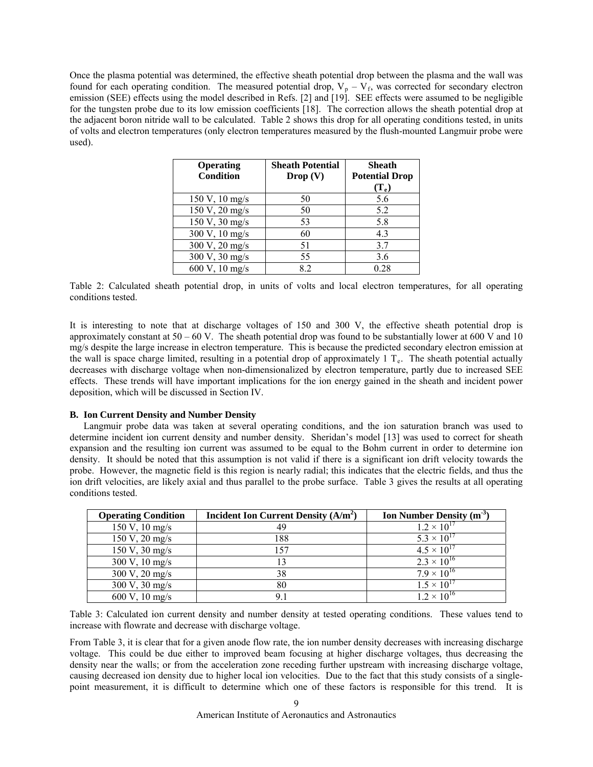Once the plasma potential was determined, the effective sheath potential drop between the plasma and the wall was found for each operating condition. The measured potential drop,  $V_p - V_f$ , was corrected for secondary electron emission (SEE) effects using the model described in Refs. [2] and [19]. SEE effects were assumed to be negligible for the tungsten probe due to its low emission coefficients [18]. The correction allows the sheath potential drop at the adjacent boron nitride wall to be calculated. [Table 2](#page-8-0) shows this drop for all operating conditions tested, in units of volts and electron temperatures (only electron temperatures measured by the flush-mounted Langmuir probe were used).

| Operating<br><b>Condition</b> | <b>Sheath Potential</b><br>Drop(V) | <b>Sheath</b><br><b>Potential Drop</b><br>$(T_e)$ |
|-------------------------------|------------------------------------|---------------------------------------------------|
| 150 V, 10 mg/s                | 50                                 | 5.6                                               |
| 150 V, 20 mg/s                | 50                                 | 5.2                                               |
| 150 V, 30 mg/s                | 53                                 | 5.8                                               |
| 300 V, 10 mg/s                | 60                                 | 4.3                                               |
| 300 V, 20 mg/s                | 51                                 | 3.7                                               |
| 300 V, 30 mg/s                | 55                                 | 3.6                                               |
| 600 V, 10 mg/s                | 82                                 | 0.28                                              |

<span id="page-8-0"></span>Table 2: Calculated sheath potential drop, in units of volts and local electron temperatures, for all operating conditions tested.

It is interesting to note that at discharge voltages of 150 and 300 V, the effective sheath potential drop is approximately constant at  $50 - 60$  V. The sheath potential drop was found to be substantially lower at  $600$  V and 10 mg/s despite the large increase in electron temperature. This is because the predicted secondary electron emission at the wall is space charge limited, resulting in a potential drop of approximately 1  $T_e$ . The sheath potential actually decreases with discharge voltage when non-dimensionalized by electron temperature, partly due to increased SEE effects. These trends will have important implications for the ion energy gained in the sheath and incident power deposition, which will be discussed in Section IV.

# **B. Ion Current Density and Number Density**

Langmuir probe data was taken at several operating conditions, and the ion saturation branch was used to determine incident ion current density and number density. Sheridan's model [13] was used to correct for sheath expansion and the resulting ion current was assumed to be equal to the Bohm current in order to determine ion density. It should be noted that this assumption is not valid if there is a significant ion drift velocity towards the probe. However, the magnetic field is this region is nearly radial; this indicates that the electric fields, and thus the ion drift velocities, are likely axial and thus parallel to the probe surface. [Table 3](#page-8-1) gives the results at all operating conditions tested.

| <b>Operating Condition</b> | Incident Ion Current Density $(A/m^2)$ | Ion Number Density (m <sup>-3</sup> |
|----------------------------|----------------------------------------|-------------------------------------|
| 150 V, 10 mg/s             | 49                                     | $1.2 \times 10^{17}$                |
| 150 V, 20 mg/s             | 188                                    | $5.3 \times 10^{17}$                |
| 150 V, 30 mg/s             | 157                                    | $4.5 \times 10^{17}$                |
| 300 V, 10 mg/s             |                                        | $2.3 \times 10^{16}$                |
| 300 V, 20 mg/s             | 38                                     | $7.9 \times 10^{16}$                |
| 300 V, 30 mg/s             | 80                                     | $1.5 \times 10^{17}$                |
| 600 V, 10 mg/s             | 91                                     | $1.2 \times 10^{16}$                |

<span id="page-8-1"></span>Table 3: Calculated ion current density and number density at tested operating conditions. These values tend to increase with flowrate and decrease with discharge voltage.

From [Table 3,](#page-8-1) it is clear that for a given anode flow rate, the ion number density decreases with increasing discharge voltage. This could be due either to improved beam focusing at higher discharge voltages, thus decreasing the density near the walls; or from the acceleration zone receding further upstream with increasing discharge voltage, causing decreased ion density due to higher local ion velocities. Due to the fact that this study consists of a singlepoint measurement, it is difficult to determine which one of these factors is responsible for this trend. It is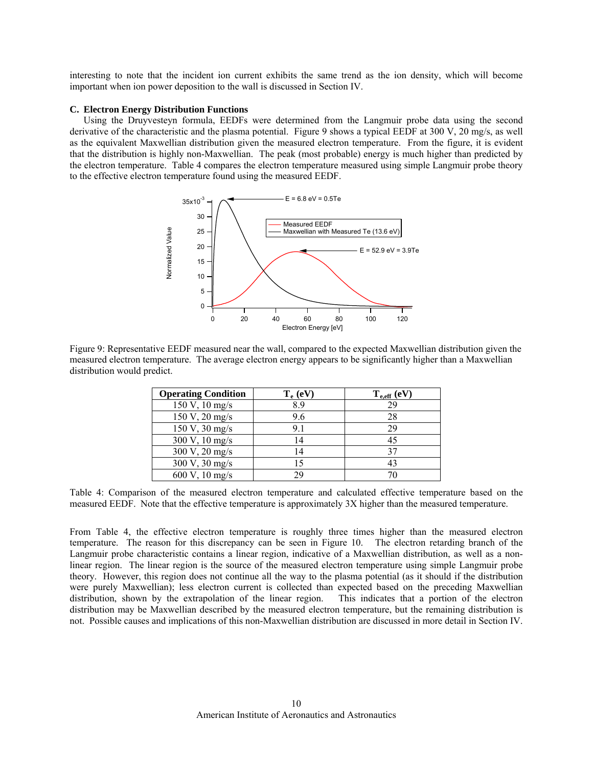interesting to note that the incident ion current exhibits the same trend as the ion density, which will become important when ion power deposition to the wall is discussed in Section IV.

## **C. Electron Energy Distribution Functions**

Using the Druyvesteyn formula, EEDFs were determined from the Langmuir probe data using the second derivative of the characteristic and the plasma potential. [Figure 9](#page-9-0) shows a typical EEDF at 300 V, 20 mg/s, as well as the equivalent Maxwellian distribution given the measured electron temperature. From the figure, it is evident that the distribution is highly non-Maxwellian. The peak (most probable) energy is much higher than predicted by the electron temperature. [Table 4](#page-9-1) compares the electron temperature measured using simple Langmuir probe theory to the effective electron temperature found using the measured EEDF.



<span id="page-9-0"></span>Figure 9: Representative EEDF measured near the wall, compared to the expected Maxwellian distribution given the measured electron temperature. The average electron energy appears to be significantly higher than a Maxwellian distribution would predict.

| <b>Operating Condition</b> | $T_e$ (eV) | $T_{e,eff}$ (eV) |
|----------------------------|------------|------------------|
| 150 V, 10 mg/s             | 8.9        | 29               |
| 150 V, 20 mg/s             | 9.6        | 28               |
| 150 V, 30 mg/s             | 9.1        | 29               |
| 300 V, 10 mg/s             | 14         | 45               |
| 300 V, 20 mg/s             | 14         | 37               |
| 300 V, 30 mg/s             | 15         | 43               |
| 600 V, 10 mg/s             | 29         | 70               |

<span id="page-9-1"></span>Table 4: Comparison of the measured electron temperature and calculated effective temperature based on the measured EEDF. Note that the effective temperature is approximately 3X higher than the measured temperature.

From [Table 4,](#page-9-1) the effective electron temperature is roughly three times higher than the measured electron temperature. The reason for this discrepancy can be seen in [Figure 10.](#page-10-0) The electron retarding branch of the Langmuir probe characteristic contains a linear region, indicative of a Maxwellian distribution, as well as a nonlinear region. The linear region is the source of the measured electron temperature using simple Langmuir probe theory. However, this region does not continue all the way to the plasma potential (as it should if the distribution were purely Maxwellian); less electron current is collected than expected based on the preceding Maxwellian distribution, shown by the extrapolation of the linear region. This indicates that a portion of the electron distribution may be Maxwellian described by the measured electron temperature, but the remaining distribution is not. Possible causes and implications of this non-Maxwellian distribution are discussed in more detail in Section IV.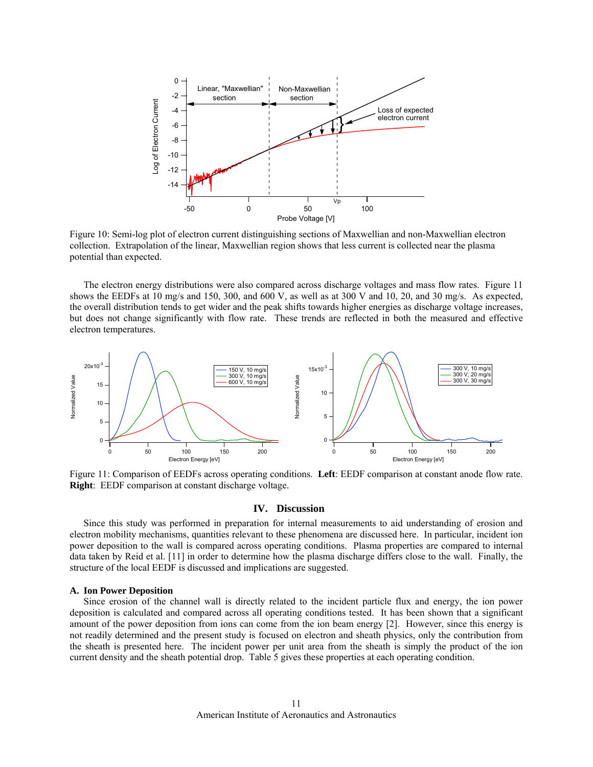

<span id="page-10-0"></span>Figure 10: Semi-log plot of electron current distinguishing sections of Maxwellian and non-Maxwellian electron collection. Extrapolation of the linear, Maxwellian region shows that less current is collected near the plasma potential than expected.

 The electron energy distributions were also compared across discharge voltages and mass flow rates. [Figure 11](#page-10-1) shows the EEDFs at 10 mg/s and 150, 300, and 600 V, as well as at 300 V and 10, 20, and 30 mg/s. As expected, the overall distribution tends to get wider and the peak shifts towards higher energies as discharge voltage increases, but does not change significantly with flow rate. These trends are reflected in both the measured and effective electron temperatures.



<span id="page-10-1"></span>Figure 11: Comparison of EEDFs across operating conditions. **Left**: EEDF comparison at constant anode flow rate. **Right**: EEDF comparison at constant discharge voltage.

#### **IV. Discussion**

Since this study was performed in preparation for internal measurements to aid understanding of erosion and electron mobility mechanisms, quantities relevant to these phenomena are discussed here. In particular, incident ion power deposition to the wall is compared across operating conditions. Plasma properties are compared to internal data taken by Reid et al. [11] in order to determine how the plasma discharge differs close to the wall. Finally, the structure of the local EEDF is discussed and implications are suggested.

## **A. Ion Power Deposition**

Since erosion of the channel wall is directly related to the incident particle flux and energy, the ion power deposition is calculated and compared across all operating conditions tested. It has been shown that a significant amount of the power deposition from ions can come from the ion beam energy [2]. However, since this energy is not readily determined and the present study is focused on electron and sheath physics, only the contribution from the sheath is presented here. The incident power per unit area from the sheath is simply the product of the ion current density and the sheath potential drop. [Table 5](#page-11-0) gives these properties at each operating condition.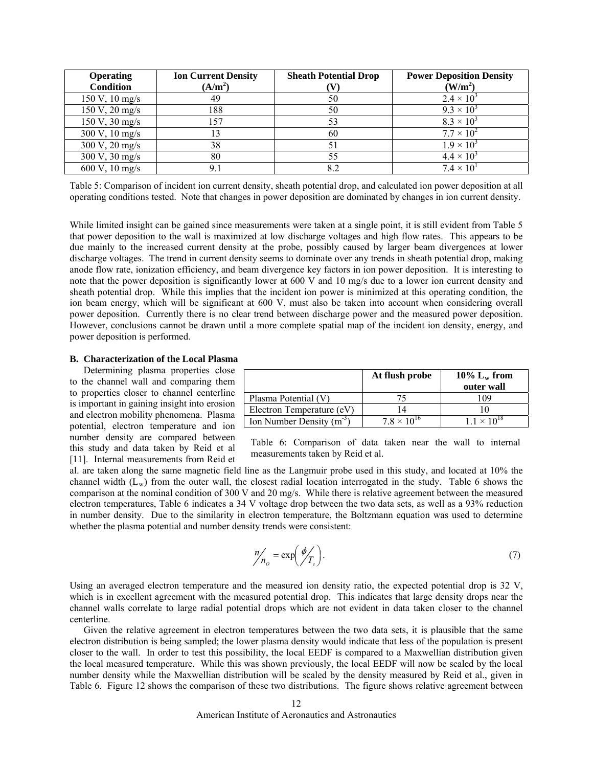| <b>Operating</b><br><b>Condition</b> | <b>Ion Current Density</b><br>(A/m <sup>2</sup> ) | <b>Sheath Potential Drop</b> | <b>Power Deposition Density</b><br>(W/m <sup>2</sup> ) |
|--------------------------------------|---------------------------------------------------|------------------------------|--------------------------------------------------------|
| 150 V, 10 mg/s                       | 49                                                | 50                           | $2.4 \times 10^{3}$                                    |
| 150 V, 20 mg/s                       | 188                                               | 50                           | $9.3 \times 10^{3}$                                    |
| 150 V, 30 mg/s                       | 157                                               | 53                           | $8.3 \times 10^{3}$                                    |
| 300 V, 10 mg/s                       | 13                                                | 60                           | $7.7 \times 10^{2}$                                    |
| 300 V, 20 mg/s                       | 38                                                |                              | $1.9 \times 10^{3}$                                    |
| 300 V, 30 mg/s                       | 80                                                | 55                           | $4.4 \times 10^{3}$                                    |
| 600 V, 10 mg/s                       | 9.1                                               |                              | $7.4 \times 10^{1}$                                    |

<span id="page-11-0"></span>Table 5: Comparison of incident ion current density, sheath potential drop, and calculated ion power deposition at all operating conditions tested. Note that changes in power deposition are dominated by changes in ion current density.

While limited insight can be gained since measurements were taken at a single point, it is still evident from [Table 5](#page-11-0) that power deposition to the wall is maximized at low discharge voltages and high flow rates. This appears to be due mainly to the increased current density at the probe, possibly caused by larger beam divergences at lower discharge voltages. The trend in current density seems to dominate over any trends in sheath potential drop, making anode flow rate, ionization efficiency, and beam divergence key factors in ion power deposition. It is interesting to note that the power deposition is significantly lower at 600 V and 10 mg/s due to a lower ion current density and sheath potential drop. While this implies that the incident ion power is minimized at this operating condition, the ion beam energy, which will be significant at 600 V, must also be taken into account when considering overall power deposition. Currently there is no clear trend between discharge power and the measured power deposition. However, conclusions cannot be drawn until a more complete spatial map of the incident ion density, energy, and power deposition is performed.

## **B. Characterization of the Local Plasma**

Determining plasma properties close to the channel wall and comparing them to properties closer to channel centerline is important in gaining insight into erosion and electron mobility phenomena. Plasma potential, electron temperature and ion number density are compared between this study and data taken by Reid et al [11]. Internal measurements from Reid et

|                               | At flush probe       | 10% $L_w$ from<br>outer wall |
|-------------------------------|----------------------|------------------------------|
| Plasma Potential (V)          |                      | 109                          |
| Electron Temperature (eV)     |                      |                              |
| Ion Number Density $(m^{-3})$ | $7.8 \times 10^{16}$ | $1.1 \times 10^{18}$         |

Table 6: Comparison of data taken near the wall to internal measurements taken by Reid et al.

al. are taken along the same magnetic field line as the Langmuir probe used in this study, and located at 10% the channel width  $(L_w)$  from the outer wall, the closest radial location interrogated in the study. Table 6 shows the comparison at the nominal condition of 300 V and 20 mg/s. While there is relative agreement between the measured electron temperatures, Table 6 indicates a 34 V voltage drop between the two data sets, as well as a 93% reduction in number density. Due to the similarity in electron temperature, the Boltzmann equation was used to determine whether the plasma potential and number density trends were consistent:

$$
n'_{n_o} = \exp\left(\frac{\phi}{T_e}\right). \tag{7}
$$

Using an averaged electron temperature and the measured ion density ratio, the expected potential drop is 32 V, which is in excellent agreement with the measured potential drop. This indicates that large density drops near the channel walls correlate to large radial potential drops which are not evident in data taken closer to the channel centerline.

 Given the relative agreement in electron temperatures between the two data sets, it is plausible that the same electron distribution is being sampled; the lower plasma density would indicate that less of the population is present closer to the wall. In order to test this possibility, the local EEDF is compared to a Maxwellian distribution given the local measured temperature. While this was shown previously, the local EEDF will now be scaled by the local number density while the Maxwellian distribution will be scaled by the density measured by Reid et al., given in Table 6. [Figure 12](#page-12-0) shows the comparison of these two distributions. The figure shows relative agreement between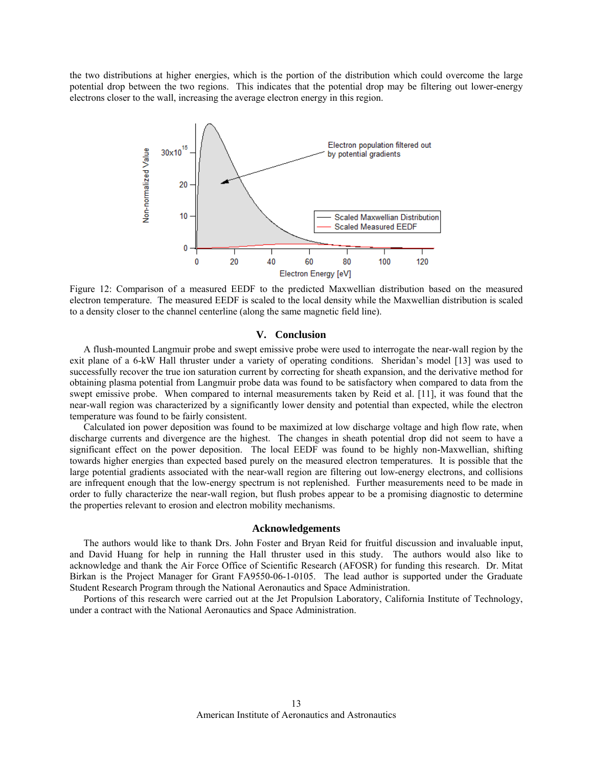the two distributions at higher energies, which is the portion of the distribution which could overcome the large potential drop between the two regions. This indicates that the potential drop may be filtering out lower-energy electrons closer to the wall, increasing the average electron energy in this region.



<span id="page-12-0"></span>Figure 12: Comparison of a measured EEDF to the predicted Maxwellian distribution based on the measured electron temperature. The measured EEDF is scaled to the local density while the Maxwellian distribution is scaled to a density closer to the channel centerline (along the same magnetic field line).

# **V. Conclusion**

A flush-mounted Langmuir probe and swept emissive probe were used to interrogate the near-wall region by the exit plane of a 6-kW Hall thruster under a variety of operating conditions. Sheridan's model [13] was used to successfully recover the true ion saturation current by correcting for sheath expansion, and the derivative method for obtaining plasma potential from Langmuir probe data was found to be satisfactory when compared to data from the swept emissive probe. When compared to internal measurements taken by Reid et al. [11], it was found that the near-wall region was characterized by a significantly lower density and potential than expected, while the electron temperature was found to be fairly consistent.

Calculated ion power deposition was found to be maximized at low discharge voltage and high flow rate, when discharge currents and divergence are the highest. The changes in sheath potential drop did not seem to have a significant effect on the power deposition. The local EEDF was found to be highly non-Maxwellian, shifting towards higher energies than expected based purely on the measured electron temperatures. It is possible that the large potential gradients associated with the near-wall region are filtering out low-energy electrons, and collisions are infrequent enough that the low-energy spectrum is not replenished. Further measurements need to be made in order to fully characterize the near-wall region, but flush probes appear to be a promising diagnostic to determine the properties relevant to erosion and electron mobility mechanisms.

### **Acknowledgements**

The authors would like to thank Drs. John Foster and Bryan Reid for fruitful discussion and invaluable input, and David Huang for help in running the Hall thruster used in this study. The authors would also like to acknowledge and thank the Air Force Office of Scientific Research (AFOSR) for funding this research. Dr. Mitat Birkan is the Project Manager for Grant FA9550-06-1-0105. The lead author is supported under the Graduate Student Research Program through the National Aeronautics and Space Administration.

Portions of this research were carried out at the Jet Propulsion Laboratory, California Institute of Technology, under a contract with the National Aeronautics and Space Administration.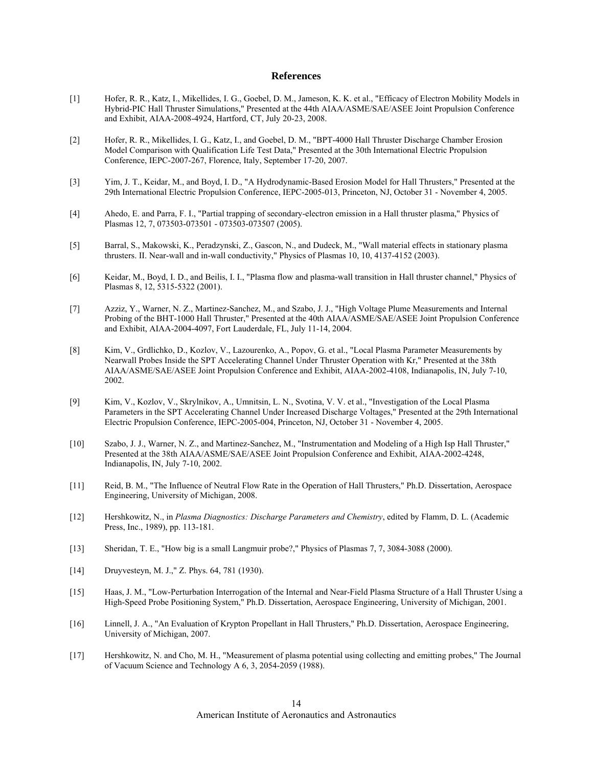#### **References**

- [1] Hofer, R. R., Katz, I., Mikellides, I. G., Goebel, D. M., Jameson, K. K. et al., "Efficacy of Electron Mobility Models in Hybrid-PIC Hall Thruster Simulations," Presented at the 44th AIAA/ASME/SAE/ASEE Joint Propulsion Conference and Exhibit, AIAA-2008-4924, Hartford, CT, July 20-23, 2008.
- [2] Hofer, R. R., Mikellides, I. G., Katz, I., and Goebel, D. M., "BPT-4000 Hall Thruster Discharge Chamber Erosion Model Comparison with Qualification Life Test Data," Presented at the 30th International Electric Propulsion Conference, IEPC-2007-267, Florence, Italy, September 17-20, 2007.
- [3] Yim, J. T., Keidar, M., and Boyd, I. D., "A Hydrodynamic-Based Erosion Model for Hall Thrusters," Presented at the 29th International Electric Propulsion Conference, IEPC-2005-013, Princeton, NJ, October 31 - November 4, 2005.
- [4] Ahedo, E. and Parra, F. I., "Partial trapping of secondary-electron emission in a Hall thruster plasma," Physics of Plasmas 12, 7, 073503-073501 - 073503-073507 (2005).
- [5] Barral, S., Makowski, K., Peradzynski, Z., Gascon, N., and Dudeck, M., "Wall material effects in stationary plasma thrusters. II. Near-wall and in-wall conductivity," Physics of Plasmas 10, 10, 4137-4152 (2003).
- [6] Keidar, M., Boyd, I. D., and Beilis, I. I., "Plasma flow and plasma-wall transition in Hall thruster channel," Physics of Plasmas 8, 12, 5315-5322 (2001).
- [7] Azziz, Y., Warner, N. Z., Martinez-Sanchez, M., and Szabo, J. J., "High Voltage Plume Measurements and Internal Probing of the BHT-1000 Hall Thruster," Presented at the 40th AIAA/ASME/SAE/ASEE Joint Propulsion Conference and Exhibit, AIAA-2004-4097, Fort Lauderdale, FL, July 11-14, 2004.
- [8] Kim, V., Grdlichko, D., Kozlov, V., Lazourenko, A., Popov, G. et al., "Local Plasma Parameter Measurements by Nearwall Probes Inside the SPT Accelerating Channel Under Thruster Operation with Kr," Presented at the 38th AIAA/ASME/SAE/ASEE Joint Propulsion Conference and Exhibit, AIAA-2002-4108, Indianapolis, IN, July 7-10, 2002.
- [9] Kim, V., Kozlov, V., Skrylnikov, A., Umnitsin, L. N., Svotina, V. V. et al., "Investigation of the Local Plasma Parameters in the SPT Accelerating Channel Under Increased Discharge Voltages," Presented at the 29th International Electric Propulsion Conference, IEPC-2005-004, Princeton, NJ, October 31 - November 4, 2005.
- [10] Szabo, J. J., Warner, N. Z., and Martinez-Sanchez, M., "Instrumentation and Modeling of a High Isp Hall Thruster," Presented at the 38th AIAA/ASME/SAE/ASEE Joint Propulsion Conference and Exhibit, AIAA-2002-4248, Indianapolis, IN, July 7-10, 2002.
- [11] Reid, B. M., "The Influence of Neutral Flow Rate in the Operation of Hall Thrusters," Ph.D. Dissertation, Aerospace Engineering, University of Michigan, 2008.
- [12] Hershkowitz, N., in *Plasma Diagnostics: Discharge Parameters and Chemistry*, edited by Flamm, D. L. (Academic Press, Inc., 1989), pp. 113-181.
- [13] Sheridan, T. E., "How big is a small Langmuir probe?," Physics of Plasmas 7, 7, 3084-3088 (2000).
- [14] Druyvesteyn, M. J.," Z. Phys. 64, 781 (1930).
- [15] Haas, J. M., "Low-Perturbation Interrogation of the Internal and Near-Field Plasma Structure of a Hall Thruster Using a High-Speed Probe Positioning System," Ph.D. Dissertation, Aerospace Engineering, University of Michigan, 2001.
- [16] Linnell, J. A., "An Evaluation of Krypton Propellant in Hall Thrusters," Ph.D. Dissertation, Aerospace Engineering, University of Michigan, 2007.
- [17] Hershkowitz, N. and Cho, M. H., "Measurement of plasma potential using collecting and emitting probes," The Journal of Vacuum Science and Technology A 6, 3, 2054-2059 (1988).